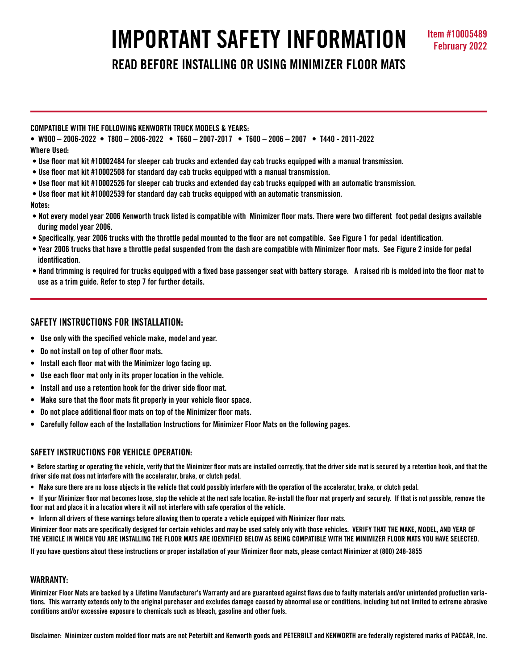# **IMPORTANT SAFETY INFORMATION Item #10005489**

**READ BEFORE INSTALLING OR USING MINIMIZER FLOOR MATS**

## **COMPATIBLE WITH THE FOLLOWING KENWORTH TRUCK MODELS & YEARS:**

**• W900 – 2006-2022 • T800 – 2006-2022 • T660 – 2007-2017 • T600 – 2006 – 2007 • T440 - 2011-2022 Where Used:**

- **Use floor mat kit #10002484 for sleeper cab trucks and extended day cab trucks equipped with a manual transmission.**
- **Use floor mat kit #10002508 for standard day cab trucks equipped with a manual transmission.**
- **Use floor mat kit #10002526 for sleeper cab trucks and extended day cab trucks equipped with an automatic transmission.**
- **Use floor mat kit #10002539 for standard day cab trucks equipped with an automatic transmission.**
- **Notes:**
- **Not every model year 2006 Kenworth truck listed is compatible with Minimizer floor mats. There were two different foot pedal designs available during model year 2006.**
- **Specifically, year 2006 trucks with the throttle pedal mounted to the floor are not compatible. See Figure 1 for pedal identification.**
- **Year 2006 trucks that have a throttle pedal suspended from the dash are compatible with Minimizer floor mats. See Figure 2 inside for pedal identification.**
- **Hand trimming is required for trucks equipped with a fixed base passenger seat with battery storage. A raised rib is molded into the floor mat to use as a trim guide. Refer to step 7 for further details.**

## **SAFETY INSTRUCTIONS FOR INSTALLATION:**

- **Use only with the specified vehicle make, model and year.**
- **Do not install on top of other floor mats.**
- **Install each floor mat with the Minimizer logo facing up.**
- **Use each floor mat only in its proper location in the vehicle.**
- **Install and use a retention hook for the driver side floor mat.**
- **Make sure that the floor mats fit properly in your vehicle floor space.**
- **Do not place additional floor mats on top of the Minimizer floor mats.**
- **Carefully follow each of the Installation Instructions for Minimizer Floor Mats on the following pages.**

## **SAFFTY INSTRUCTIONS FOR VEHICLE OPERATION:**

**• Before starting or operating the vehicle, verify that the Minimizer floor mats are installed correctly, that the driver side mat is secured by a retention hook, and that the driver side mat does not interfere with the accelerator, brake, or clutch pedal.**

- **Make sure there are no loose objects in the vehicle that could possibly interfere with the operation of the accelerator, brake, or clutch pedal.**
- **If your Minimizer floor mat becomes loose, stop the vehicle at the next safe location. Re-install the floor mat properly and securely. If that is not possible, remove the floor mat and place it in a location where it will not interfere with safe operation of the vehicle.**
- **Inform all drivers of these warnings before allowing them to operate a vehicle equipped with Minimizer floor mats.**

**Minimizer floor mats are specifically designed for certain vehicles and may be used safely only with those vehicles. VERIFY THAT THE MAKE, MODEL, AND YEAR OF THE VEHICLE IN WHICH YOU ARE INSTALLING THE FLOOR MATS ARE IDENTIFIED BELOW AS BEING COMPATIBLE WITH THE MINIMIZER FLOOR MATS YOU HAVE SELECTED.** 

**If you have questions about these instructions or proper installation of your Minimizer floor mats, please contact Minimizer at (800) 248-3855**

### **WARRANTY:**

**Minimizer Floor Mats are backed by a Lifetime Manufacturer's Warranty and are guaranteed against flaws due to faulty materials and/or unintended production variations. This warranty extends only to the original purchaser and excludes damage caused by abnormal use or conditions, including but not limited to extreme abrasive conditions and/or excessive exposure to chemicals such as bleach, gasoline and other fuels.**

**Disclaimer: Minimizer custom molded floor mats are not Peterbilt and Kenworth goods and PETERBILT and KENWORTH are federally registered marks of PACCAR, Inc.**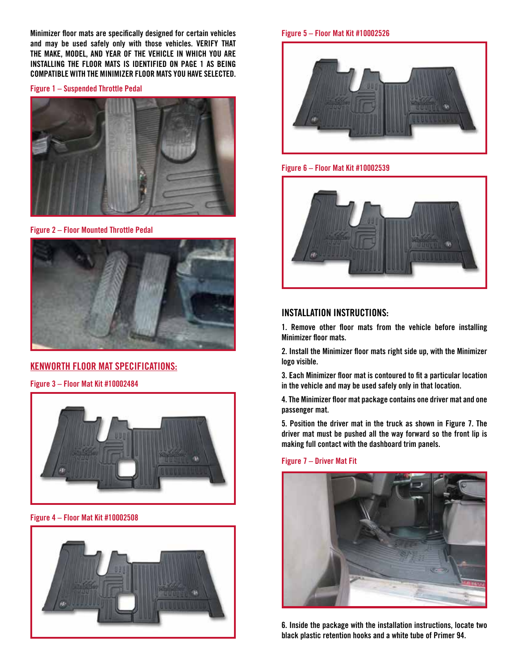**Minimizer floor mats are specifically designed for certain vehicles and may be used safely only with those vehicles. VERIFY THAT THE MAKE, MODEL, AND YEAR OF THE VEHICLE IN WHICH YOU ARE INSTALLING THE FLOOR MATS IS IDENTIFIED ON PAGE 1 AS BEING COMPATIBLE WITH THE MINIMIZER FLOOR MATS YOU HAVE SELECTED.** 

**Figure 1 – Suspended Throttle Pedal**



**Figure 2 – Floor Mounted Throttle Pedal**



# **KENWORTH FLOOR MAT SPECIFICATIONS:**

**Figure 3 – Floor Mat Kit #10002484**



**Figure 4 – Floor Mat Kit #10002508**



**Figure 5 – Floor Mat Kit #10002526**



**Figure 6 – Floor Mat Kit #10002539**



# **INSTALLATION INSTRUCTIONS:**

**1. Remove other floor mats from the vehicle before installing Minimizer floor mats.**

**2. Install the Minimizer floor mats right side up, with the Minimizer logo visible.**

**3. Each Minimizer floor mat is contoured to fit a particular location in the vehicle and may be used safely only in that location.**

**4. The Minimizer floor mat package contains one driver mat and one passenger mat.** 

**5. Position the driver mat in the truck as shown in Figure 7. The driver mat must be pushed all the way forward so the front lip is making full contact with the dashboard trim panels.**

**Figure 7 – Driver Mat Fit**



**6. Inside the package with the installation instructions, locate two black plastic retention hooks and a white tube of Primer 94.**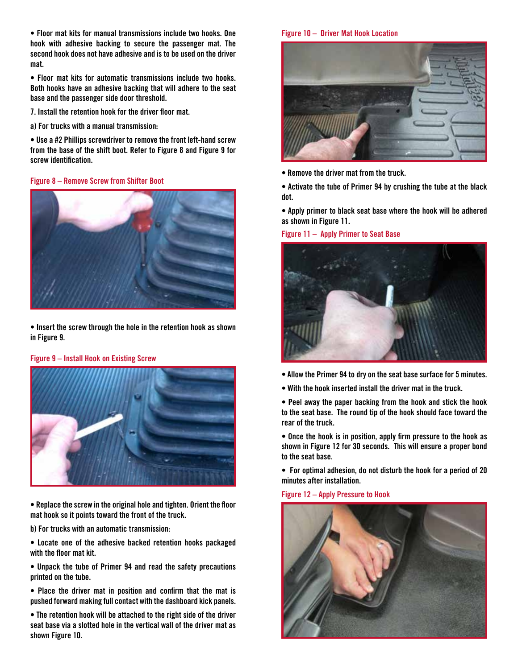**• Floor mat kits for manual transmissions include two hooks. One hook with adhesive backing to secure the passenger mat. The second hook does not have adhesive and is to be used on the driver mat.**

**• Floor mat kits for automatic transmissions include two hooks. Both hooks have an adhesive backing that will adhere to the seat base and the passenger side door threshold.**

- **7. Install the retention hook for the driver floor mat.**
- **a) For trucks with a manual transmission:**

**• Use a #2 Phillips screwdriver to remove the front left-hand screw from the base of the shift boot. Refer to Figure 8 and Figure 9 for screw identification.**

#### **Figure 8 – Remove Screw from Shifter Boot**



**• Insert the screw through the hole in the retention hook as shown in Figure 9.**

#### **Figure 9 – Install Hook on Existing Screw**



**• Replace the screw in the original hole and tighten. Orient the floor mat hook so it points toward the front of the truck.**

**b) For trucks with an automatic transmission:**

**• Locate one of the adhesive backed retention hooks packaged with the floor mat kit.**

**• Unpack the tube of Primer 94 and read the safety precautions printed on the tube.**

**• Place the driver mat in position and confirm that the mat is pushed forward making full contact with the dashboard kick panels.** 

**• The retention hook will be attached to the right side of the driver seat base via a slotted hole in the vertical wall of the driver mat as shown Figure 10.**

#### **Figure 10 – Driver Mat Hook Location**



**• Remove the driver mat from the truck.** 

**• Activate the tube of Primer 94 by crushing the tube at the black dot.**

**• Apply primer to black seat base where the hook will be adhered as shown in Figure 11.**

**Figure 11 – Apply Primer to Seat Base**



- **Allow the Primer 94 to dry on the seat base surface for 5 minutes.**
- **With the hook inserted install the driver mat in the truck.**

**• Peel away the paper backing from the hook and stick the hook to the seat base. The round tip of the hook should face toward the rear of the truck.**

**• Once the hook is in position, apply firm pressure to the hook as shown in Figure 12 for 30 seconds. This will ensure a proper bond to the seat base.**

**• For optimal adhesion, do not disturb the hook for a period of 20 minutes after installation.**

#### **Figure 12 – Apply Pressure to Hook**